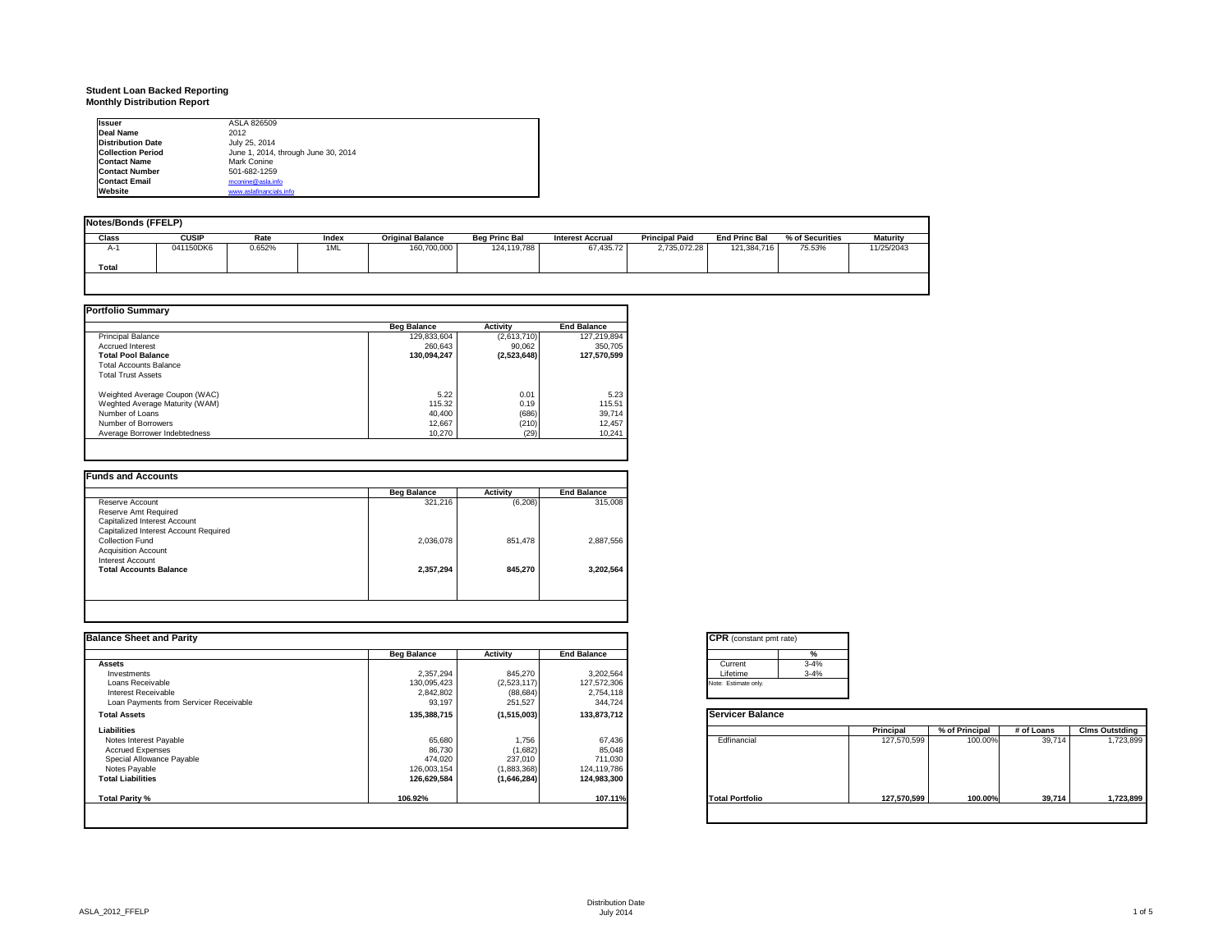#### **Student Loan Backed Reporting Monthly Distribution Report**

| <b>Issuer</b>            | ASLA 826509                         |
|--------------------------|-------------------------------------|
| Deal Name                | 2012                                |
| <b>Distribution Date</b> | July 25, 2014                       |
| <b>Collection Period</b> | June 1, 2014, through June 30, 2014 |
| <b>Contact Name</b>      | Mark Conine                         |
| <b>Contact Number</b>    | 501-682-1259                        |
| <b>Contact Email</b>     | mconine@asla.info                   |
| Website                  | www.aslafinancials.info             |

| Notes/Bonds (FFELP) |              |        |       |                         |                      |                         |                       |                      |                 |                 |
|---------------------|--------------|--------|-------|-------------------------|----------------------|-------------------------|-----------------------|----------------------|-----------------|-----------------|
| Class               | <b>CUSIP</b> | Rate   | Index | <b>Original Balance</b> | <b>Bea Princ Bal</b> | <b>Interest Accrual</b> | <b>Principal Paid</b> | <b>End Princ Bal</b> | % of Securities | <b>Maturity</b> |
| A-                  | 041150DK6    | 0.652% | 1ML   | 160,700,000             | 124,119,788          | 67,435.72               | 2,735,072.28          | 121,384,716          | 75.53%          | 11/25/2043      |
| Total               |              |        |       |                         |                      |                         |                       |                      |                 |                 |
|                     |              |        |       |                         |                      |                         |                       |                      |                 |                 |
|                     |              |        |       |                         |                      |                         |                       |                      |                 |                 |

|                                | <b>Beg Balance</b> | <b>Activity</b> | <b>End Balance</b> |
|--------------------------------|--------------------|-----------------|--------------------|
| <b>Principal Balance</b>       | 129.833.604        | (2,613,710)     | 127.219.894        |
| <b>Accrued Interest</b>        | 260.643            | 90.062          | 350.705            |
| <b>Total Pool Balance</b>      | 130.094.247        | (2,523,648)     | 127.570.599        |
| <b>Total Accounts Balance</b>  |                    |                 |                    |
| <b>Total Trust Assets</b>      |                    |                 |                    |
| Weighted Average Coupon (WAC)  | 5.22               | 0.01            | 5.23               |
| Weghted Average Maturity (WAM) | 115.32             | 0.19            | 115.51             |
| Number of Loans                | 40.400             | (686)           | 39.714             |
| Number of Borrowers            | 12.667             | (210)           | 12.457             |
| Average Borrower Indebtedness  | 10.270             | (29)            | 10.241             |

|                                       | <b>Beg Balance</b> | <b>Activity</b> | <b>End Balance</b> |
|---------------------------------------|--------------------|-----------------|--------------------|
| Reserve Account                       | 321.216            | (6, 208)        | 315,008            |
| Reserve Amt Required                  |                    |                 |                    |
| Capitalized Interest Account          |                    |                 |                    |
| Capitalized Interest Account Required |                    |                 |                    |
| Collection Fund                       | 2,036,078          | 851,478         | 2,887,556          |
| <b>Acquisition Account</b>            |                    |                 |                    |
| Interest Account                      |                    |                 |                    |
| <b>Total Accounts Balance</b>         | 2,357,294          | 845,270         | 3,202,564          |
|                                       |                    |                 |                    |
|                                       |                    |                 |                    |

| <b>Balance Sheet and Parity</b>        |                    |             |                    | <b>CPR</b> (constant pmt rate) |             |                |            |                       |
|----------------------------------------|--------------------|-------------|--------------------|--------------------------------|-------------|----------------|------------|-----------------------|
|                                        | <b>Beg Balance</b> | Activity    | <b>End Balance</b> | %                              |             |                |            |                       |
| <b>Assets</b>                          |                    |             |                    | $3 - 4%$<br>Current            |             |                |            |                       |
| Investments                            | 2,357,294          | 845,270     | 3,202,564          | $3 - 4%$<br>Lifetime           |             |                |            |                       |
| Loans Receivable                       | 130,095,423        | (2,523,117) | 127,572,306        | Note: Estimate only.           |             |                |            |                       |
| Interest Receivable                    | 2,842,802          | (88, 684)   | 2,754,118          |                                |             |                |            |                       |
| Loan Payments from Servicer Receivable | 93,197             | 251,527     | 344,724            |                                |             |                |            |                       |
| <b>Total Assets</b>                    | 135,388,715        | (1,515,003) | 133,873,712        | Servicer Balance               |             |                |            |                       |
| Liabilities                            |                    |             |                    |                                | Principal   | % of Principal | # of Loans | <b>CIms Outstding</b> |
| Notes Interest Payable                 | 65,680             | 1,756       | 67,436             | Edfinancial                    | 127,570,599 | 100.00%        | 39,714     | 1,723,899             |
| <b>Accrued Expenses</b>                | 86,730             | (1,682)     | 85,048             |                                |             |                |            |                       |
| Special Allowance Payable              | 474,020            | 237,010     | 711,030            |                                |             |                |            |                       |
| Notes Payable                          | 126,003,154        | (1,883,368) | 124,119,786        |                                |             |                |            |                       |
| <b>Total Liabilities</b>               | 126,629,584        | (1,646,284) | 124,983,300        |                                |             |                |            |                       |
| Total Parity %                         | 106.92%            |             | 107.11%            | <b>Total Portfolio</b>         | 127,570,599 | 100.00%        | 39,714     | 1,723,899             |
|                                        |                    |             |                    |                                |             |                |            |                       |
|                                        |                    |             |                    |                                |             |                |            |                       |

| Current  | $3 - 4%$ |
|----------|----------|
| Lifetime | $3 - 4%$ |

|                        | Principal   | % of Principal | # of Loans | <b>Clms Outstding</b> |  |
|------------------------|-------------|----------------|------------|-----------------------|--|
| Edfinancial            | 127,570,599 | 100.00%        | 39,714     | 1,723,899             |  |
| <b>Total Portfolio</b> | 127,570,599 | 100.00%        | 39,714     | 1,723,899             |  |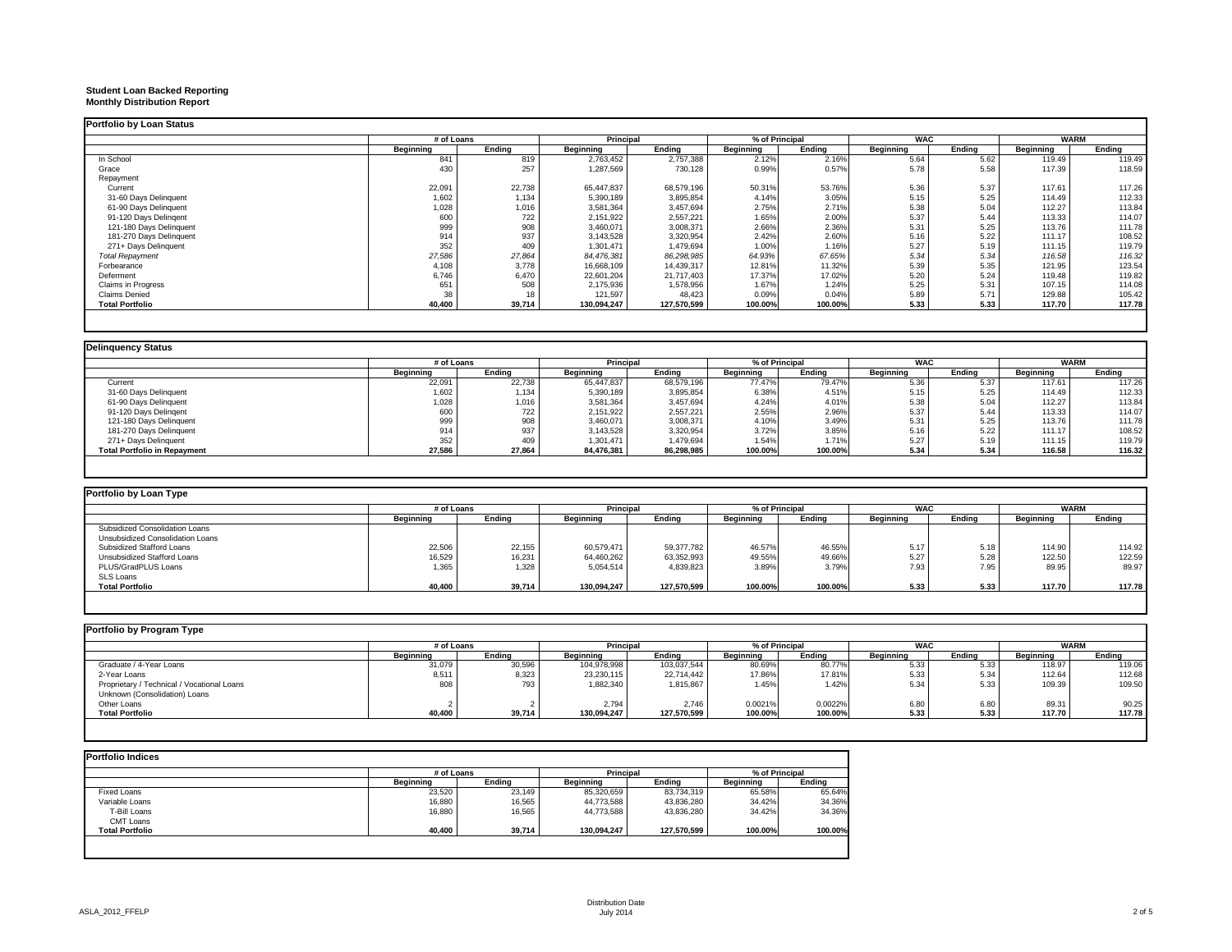### **Student Loan Backed Reporting**

### **Monthly Distribution Report**

| <b>Portfolio by Loan Status</b> |            |        |                  |             |                  |         |            |        |           |             |
|---------------------------------|------------|--------|------------------|-------------|------------------|---------|------------|--------|-----------|-------------|
|                                 | # of Loans |        | Principal        |             | % of Principal   |         | <b>WAC</b> |        |           | <b>WARM</b> |
|                                 | Beginning  | Ending | <b>Beginning</b> | Ending      | <b>Beginning</b> | Ending  | Beginning  | Endina | Beginning | Endina      |
| In School                       | 841        | 819    | 2,763,452        | 2,757,388   | 2.12%            | 2.16%   | 5.64       | 5.62   | 119.49    | 119.49      |
| Grace                           | 430        | 257    | 1,287,569        | 730,128     | 0.99%            | 0.57%   | 5.78       | 5.58   | 117.39    | 118.59      |
| Repayment                       |            |        |                  |             |                  |         |            |        |           |             |
| Current                         | 22,091     | 22,738 | 65,447,837       | 68,579,196  | 50.31%           | 53.76%  | 5.36       | 5.37   | 117.61    | 117.26      |
| 31-60 Days Delinquent           | 1,602      | 1,134  | 5,390,189        | 3,895,854   | 4.14%            | 3.05%   | 5.15       | 5.25   | 114.49    | 112.33      |
| 61-90 Days Delinquent           | 1,028      | 1,016  | 3,581,364        | 3,457,694   | 2.75%            | 2.71%   | 5.38       | 5.04   | 112.27    | 113.84      |
| 91-120 Days Delingent           | 600        | 722    | 2,151,922        | 2,557,221   | 1.65%            | 2.00%   | 5.37       | 5.44   | 113.33    | 114.07      |
| 121-180 Days Delinquent         | 999        | 908    | 3,460,071        | 3,008,371   | 2.66%            | 2.36%   | 5.31       | 5.25   | 113.76    | 111.78      |
| 181-270 Days Delinquent         | 914        | 937    | 3,143,528        | 3,320,954   | 2.42%            | 2.60%   | 5.16       | 5.22   | 111.17    | 108.52      |
| 271+ Days Delinquent            | 352        | 409    | 1,301,471        | 1,479,694   | 1.00%            | 1.16%   | 5.27       | 5.19   | 111.15    | 119.79      |
| <b>Total Repayment</b>          | 27,586     | 27,864 | 84,476,381       | 86,298,985  | 64.93%           | 67.65%  | 5.34       | 5.34   | 116.58    | 116.32      |
| Forbearance                     | 4,108      | 3,778  | 16,668,109       | 14,439,317  | 12.81%           | 11.32%  | 5.39       | 5.35   | 121.95    | 123.54      |
| Deferment                       | 6,746      | 6.470  | 22,601,204       | 21,717,403  | 17.37%           | 17.02%  | 5.20       | 5.24   | 119.48    | 119.82      |
| <b>Claims in Progress</b>       | 651        | 508    | 2,175,936        | 1,578,956   | 1.67%            | 1.24%   | 5.25       | 5.31   | 107.15    | 114.08      |
| <b>Claims Denied</b>            | 38         | 18     | 121.597          | 48,423      | 0.09%            | 0.04%   | 5.89       | 5.71   | 129.88    | 105.42      |
| <b>Total Portfolio</b>          | 40,400     | 39,714 | 130,094,247      | 127,570,599 | 100.00%          | 100.00% | 5.33       | 5.33   | 117.70    | 117.78      |
|                                 |            |        |                  |             |                  |         |            |        |           |             |

| <b>Delinquency Status</b>           |            |        |            |                  |           |                |           |            |                  |        |
|-------------------------------------|------------|--------|------------|------------------|-----------|----------------|-----------|------------|------------------|--------|
|                                     | # of Loans |        |            | <b>Principal</b> |           | % of Principal |           | <b>WAC</b> | <b>WARM</b>      |        |
|                                     | Beginning  | Endina | Beginning  | Endina           | Beainnina | Endina         | Beginning | Endina     | <b>Beginning</b> | Endina |
| Current                             | 22,091     | 22,738 | 65,447,837 | 68,579,196       | 77.47%    | 79.47%         | 5.36      | 5.37       | 117.61           | 117.26 |
| 31-60 Days Delinquent               | 1,602      | 1,134  | 5,390,189  | 3,895,854        | 6.38%     | 4.51%          | 5.15      | 5.25       | 114.49           | 112.33 |
| 61-90 Days Delinquent               | 1.028      | 1,016  | 3,581,364  | 3,457,694        | 4.24%     | 4.01%          | 5.38      | 5.04       | 112.27           | 113.84 |
| 91-120 Days Delingent               | 600        | 722    | 2,151,922  | 2,557,221        | 2.55%     | 2.96%          | 5.37      | 5.44       | 113.33           | 114.07 |
| 121-180 Days Delinquent             | 999        | 908    | 3,460,071  | 3,008,371        | 4.10%     | 3.49%          | 5.31      | 5.25       | 113.76           | 111.78 |
| 181-270 Days Delinquent             | 914        | 937    | 3,143,528  | 3,320,954        | 3.72%     | 3.85%          | 5.16      | 5.22       | 111.17           | 108.52 |
| 271+ Days Delinquent                | 352        | 409    | 1,301,471  | 1,479,694        | 1.54%     | 1.71%          | 5.27      | 5.19       | 111.15           | 119.79 |
| <b>Total Portfolio in Repayment</b> | 27,586     | 27,864 | 84,476,381 | 86,298,985       | 100.00%   | 100.00%        | 5.34      | 5.34       | 116.58           | 116.32 |
|                                     |            |        |            |                  |           |                |           |            |                  |        |

| Portfolio by Loan Type           |           |            |             |                  |           |                |           |            |                  |        |
|----------------------------------|-----------|------------|-------------|------------------|-----------|----------------|-----------|------------|------------------|--------|
|                                  |           | # of Loans |             | <b>Principal</b> |           | % of Principal |           | <b>WAC</b> | <b>WARM</b>      |        |
|                                  | Beginning | Ending     | Beginning   | Endina           | Beainnina | Ending         | Beainnina | Endina     | <b>Beainnina</b> | Ending |
| Subsidized Consolidation Loans   |           |            |             |                  |           |                |           |            |                  |        |
| Unsubsidized Consolidation Loans |           |            |             |                  |           |                |           |            |                  |        |
| Subsidized Stafford Loans        | 22,506    | 22,155     | 60,579,471  | 59,377,782       | 46.57%    | 46.55%         | 5.17      | 5.18       | 114.90           | 114.92 |
| Unsubsidized Stafford Loans      | 16,529    | 16,231     | 64,460,262  | 63,352,993       | 49.55%    | 49.66%         | 5.27      | 5.28       | 122.50           | 122.59 |
| PLUS/GradPLUS Loans              | 1.365     | 1.328      | 5.054.514   | 4,839,823        | 3.89%     | 3.79%          | 7.93      | 7.95       | 89.95            | 89.97  |
| SLS Loans                        |           |            |             |                  |           |                |           |            |                  |        |
| <b>Total Portfolio</b>           | 40,400    | 39,714     | 130,094,247 | 127.570.599      | 100.00%   | 100.00%        | 5.33      | 5.33       | 117.70           | 117.78 |

| Portfolio by Program Type                  |           |            |             |             |                |         |                  |        |             |        |
|--------------------------------------------|-----------|------------|-------------|-------------|----------------|---------|------------------|--------|-------------|--------|
|                                            |           | # of Loans |             | Principal   | % of Principal |         | <b>WAC</b>       |        | <b>WARM</b> |        |
|                                            | Beainning | Endina     | Beainnina   | Endina      | Beginning      | Endina  | <b>Beginning</b> | Endina | Beginning   | Ending |
| Graduate / 4-Year Loans                    | 31,079    | 30,596     | 104,978,998 | 103,037,544 | 80.69%         | 80.77%  | 5.33             | 5.33   | 118.97      | 119.06 |
| 2-Year Loans                               | 8,511     | 8,323      | 23,230,115  | 22.714.442  | 17.86%         | 17.81%  | 5.33             | 5.34   | 112.64      | 112.68 |
| Proprietary / Technical / Vocational Loans | 808       | 793        | 1,882,340   | 1,815,867   | 1.45%          | 1.42%   | 5.34             | 5.33   | 109.39      | 109.50 |
| Unknown (Consolidation) Loans              |           |            |             |             |                |         |                  |        |             |        |
| Other Loans                                |           |            | 2.794       | 2.746       | 0.0021%        | 0.0022% | 6.80             | 6.80   | 89.31       | 90.25  |
| <b>Total Portfolio</b>                     | 40,400    | 39,714     | 130,094,247 | 127,570,599 | 100.00%        | 100.00% | 5.33             | 5.33   | 117.70      | 117.78 |
|                                            |           |            |             |             |                |         |                  |        |             |        |

|                        | # of Loans |        | <b>Principal</b> |             | % of Principal   |         |  |
|------------------------|------------|--------|------------------|-------------|------------------|---------|--|
|                        | Beainnina  | Endina | Beginning        | Endina      | <b>Beginning</b> | Ending  |  |
| Fixed Loans            | 23,520     | 23.149 | 85,320,659       | 83,734,319  | 65.58%           | 65.64%  |  |
| Variable Loans         | 16,880     | 16,565 | 44,773,588       | 43,836,280  | 34.42%           | 34.36%  |  |
| T-Bill Loans           | 16,880     | 16.565 | 44,773,588       | 43,836,280  | 34.42%           | 34.36%  |  |
| CMT Loans              |            |        |                  |             |                  |         |  |
| <b>Total Portfolio</b> | 40,400     | 39,714 | 130,094,247      | 127,570,599 | 100.00%          | 100.00% |  |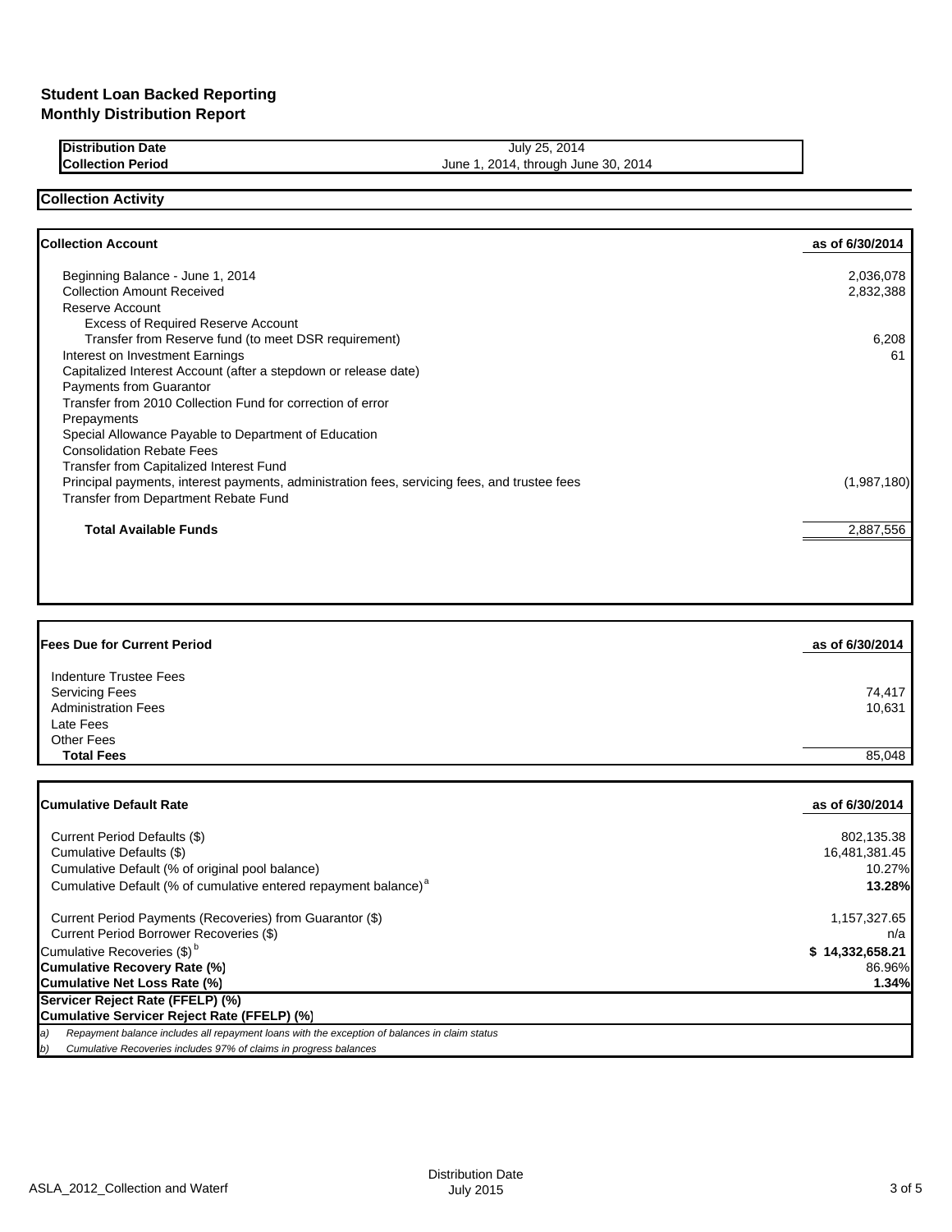## **Student Loan Backed Reporting Monthly Distribution Report**

# **Distribution Date** July 25, 2014

**Collection Period Collection Period June 1, 2014, through June 30, 2014** 

**Collection Activity**

| <b>Collection Account</b>                                                                    | as of 6/30/2014 |
|----------------------------------------------------------------------------------------------|-----------------|
| Beginning Balance - June 1, 2014                                                             | 2,036,078       |
| <b>Collection Amount Received</b>                                                            | 2,832,388       |
| Reserve Account                                                                              |                 |
| <b>Excess of Required Reserve Account</b>                                                    |                 |
| Transfer from Reserve fund (to meet DSR requirement)                                         | 6,208           |
| Interest on Investment Earnings                                                              | 61              |
| Capitalized Interest Account (after a stepdown or release date)                              |                 |
| <b>Payments from Guarantor</b>                                                               |                 |
| Transfer from 2010 Collection Fund for correction of error                                   |                 |
| Prepayments                                                                                  |                 |
| Special Allowance Payable to Department of Education                                         |                 |
| <b>Consolidation Rebate Fees</b>                                                             |                 |
| Transfer from Capitalized Interest Fund                                                      |                 |
| Principal payments, interest payments, administration fees, servicing fees, and trustee fees | (1,987,180)     |
| Transfer from Department Rebate Fund                                                         |                 |
| <b>Total Available Funds</b>                                                                 | 2,887,556       |
|                                                                                              |                 |
|                                                                                              |                 |

| <b>Fees Due for Current Period</b> | as of 6/30/2014 |
|------------------------------------|-----------------|
| Indenture Trustee Fees             |                 |
| <b>Servicing Fees</b>              | 74.417          |
| <b>Administration Fees</b>         | 10,631          |
| Late Fees                          |                 |
| Other Fees                         |                 |
| <b>Total Fees</b>                  | 85,048          |

| <b>ICumulative Default Rate</b>                                                                     | as of 6/30/2014 |
|-----------------------------------------------------------------------------------------------------|-----------------|
|                                                                                                     |                 |
| Current Period Defaults (\$)                                                                        | 802,135.38      |
| Cumulative Defaults (\$)                                                                            | 16,481,381.45   |
| Cumulative Default (% of original pool balance)                                                     | 10.27%          |
| Cumulative Default (% of cumulative entered repayment balance) <sup>a</sup>                         | 13.28%          |
| Current Period Payments (Recoveries) from Guarantor (\$)                                            | 1,157,327.65    |
| Current Period Borrower Recoveries (\$)                                                             | n/a             |
| Cumulative Recoveries (\$) <sup>b</sup>                                                             | \$14,332,658.21 |
| Cumulative Recovery Rate (%)                                                                        | 86.96%          |
| Cumulative Net Loss Rate (%)                                                                        | 1.34%           |
| Servicer Reject Rate (FFELP) (%)                                                                    |                 |
| Cumulative Servicer Reject Rate (FFELP) (%)                                                         |                 |
| Repayment balance includes all repayment loans with the exception of balances in claim status<br>a) |                 |
| Cumulative Recoveries includes 97% of claims in progress balances<br>b)                             |                 |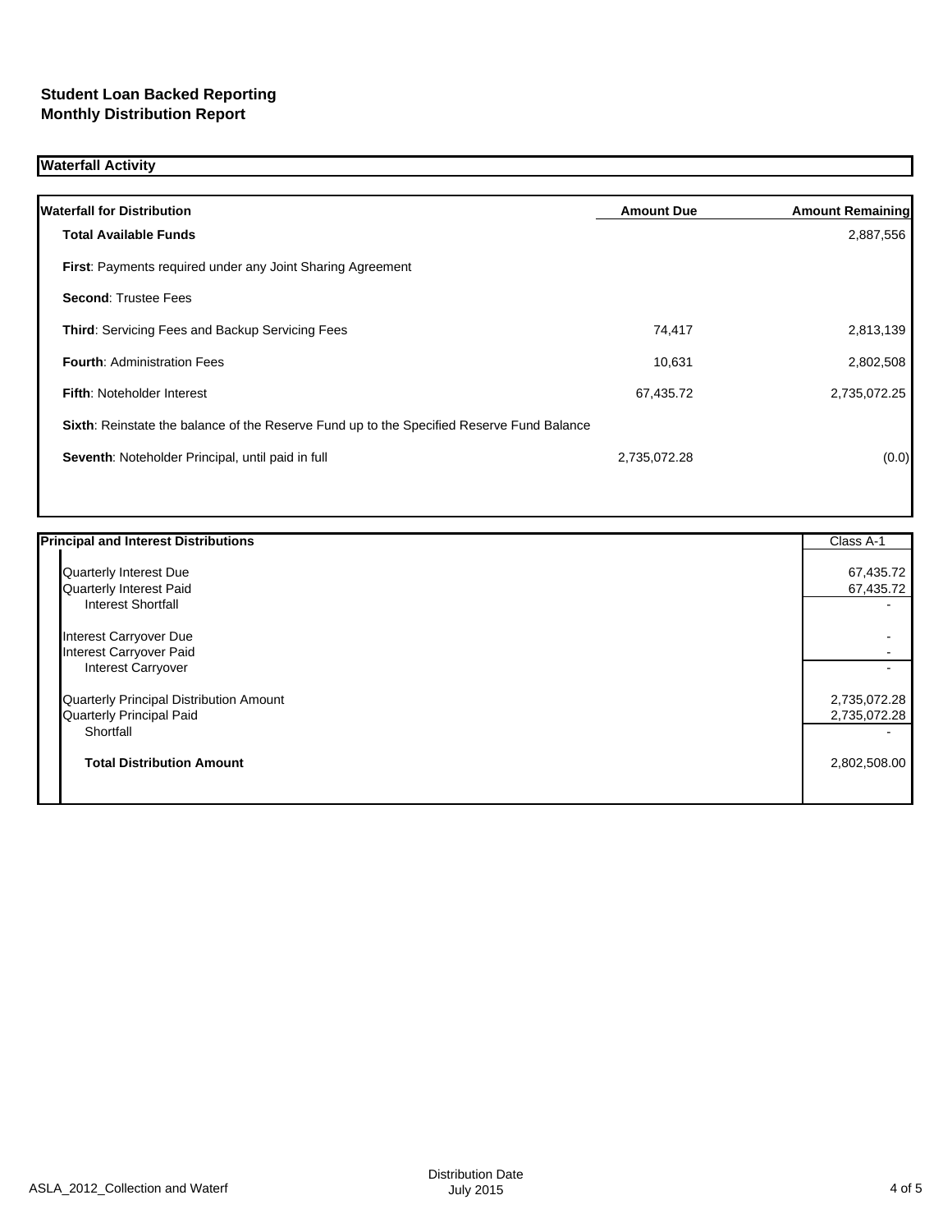# **Student Loan Backed Reporting Monthly Distribution Report**

# **Waterfall Activity**

| <b>Waterfall for Distribution</b>                                                         | <b>Amount Due</b> | <b>Amount Remaining</b> |
|-------------------------------------------------------------------------------------------|-------------------|-------------------------|
| <b>Total Available Funds</b>                                                              |                   | 2,887,556               |
| <b>First:</b> Payments required under any Joint Sharing Agreement                         |                   |                         |
| <b>Second: Trustee Fees</b>                                                               |                   |                         |
| <b>Third:</b> Servicing Fees and Backup Servicing Fees                                    | 74,417            | 2,813,139               |
| <b>Fourth: Administration Fees</b>                                                        | 10,631            | 2,802,508               |
| <b>Fifth: Noteholder Interest</b>                                                         | 67,435.72         | 2,735,072.25            |
| Sixth: Reinstate the balance of the Reserve Fund up to the Specified Reserve Fund Balance |                   |                         |
| Seventh: Noteholder Principal, until paid in full                                         | 2,735,072.28      | (0.0)                   |
|                                                                                           |                   |                         |

| <b>Principal and Interest Distributions</b> | Class A-1    |
|---------------------------------------------|--------------|
| <b>Quarterly Interest Due</b>               | 67,435.72    |
| Quarterly Interest Paid                     | 67,435.72    |
| <b>Interest Shortfall</b>                   |              |
| Interest Carryover Due                      |              |
| Interest Carryover Paid                     |              |
| <b>Interest Carryover</b>                   |              |
| Quarterly Principal Distribution Amount     | 2,735,072.28 |
| Quarterly Principal Paid                    | 2,735,072.28 |
| Shortfall                                   |              |
| <b>Total Distribution Amount</b>            | 2,802,508.00 |
|                                             |              |